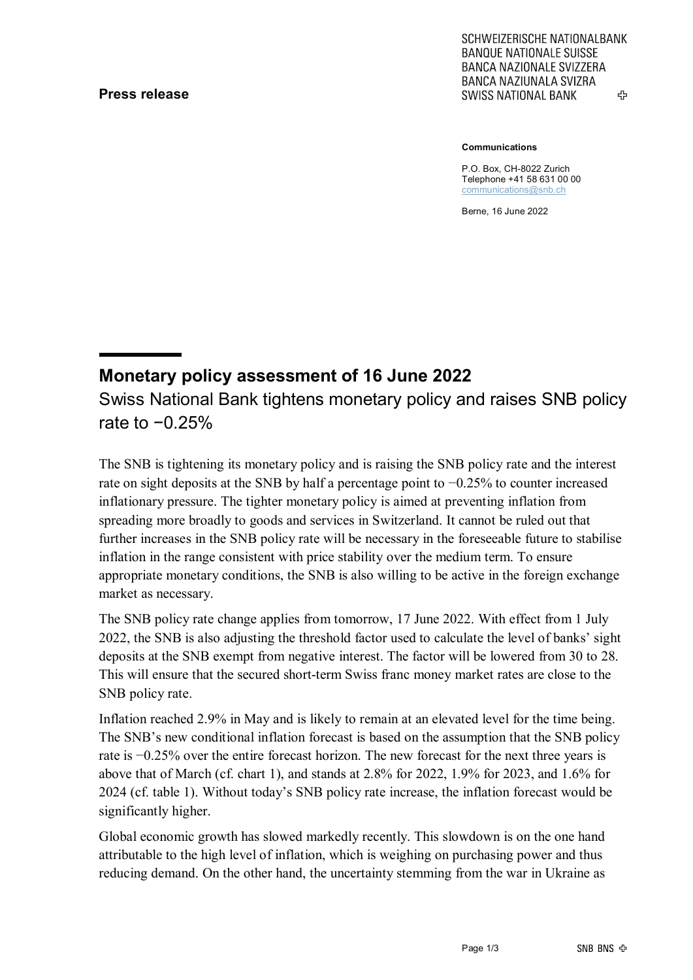# **Press release**

SCHWEIZERISCHE NATIONALBANK **BANQUE NATIONALE SUISSE BANCA NAZIONALE SVIZZERA BANCA NAZIUNALA SVIZRA** ረት **SWISS NATIONAL BANK** 

**Communications**

P.O. Box, CH-8022 Zurich Telephone +41 58 631 00 00 [communications@snb.ch](mailto:communications@snb.ch)

Berne, 16 June 2022

# **Monetary policy assessment of 16 June 2022** Swiss National Bank tightens monetary policy and raises SNB policy rate to −0.25%

The SNB is tightening its monetary policy and is raising the SNB policy rate and the interest rate on sight deposits at the SNB by half a percentage point to −0.25% to counter increased inflationary pressure. The tighter monetary policy is aimed at preventing inflation from spreading more broadly to goods and services in Switzerland. It cannot be ruled out that further increases in the SNB policy rate will be necessary in the foreseeable future to stabilise inflation in the range consistent with price stability over the medium term. To ensure appropriate monetary conditions, the SNB is also willing to be active in the foreign exchange market as necessary.

The SNB policy rate change applies from tomorrow, 17 June 2022. With effect from 1 July 2022, the SNB is also adjusting the threshold factor used to calculate the level of banks' sight deposits at the SNB exempt from negative interest. The factor will be lowered from 30 to 28. This will ensure that the secured short-term Swiss franc money market rates are close to the SNB policy rate.

Inflation reached 2.9% in May and is likely to remain at an elevated level for the time being. The SNB's new conditional inflation forecast is based on the assumption that the SNB policy rate is −0.25% over the entire forecast horizon. The new forecast for the next three years is above that of March (cf. chart 1), and stands at 2.8% for 2022, 1.9% for 2023, and 1.6% for 2024 (cf. table 1). Without today's SNB policy rate increase, the inflation forecast would be significantly higher.

Global economic growth has slowed markedly recently. This slowdown is on the one hand attributable to the high level of inflation, which is weighing on purchasing power and thus reducing demand. On the other hand, the uncertainty stemming from the war in Ukraine as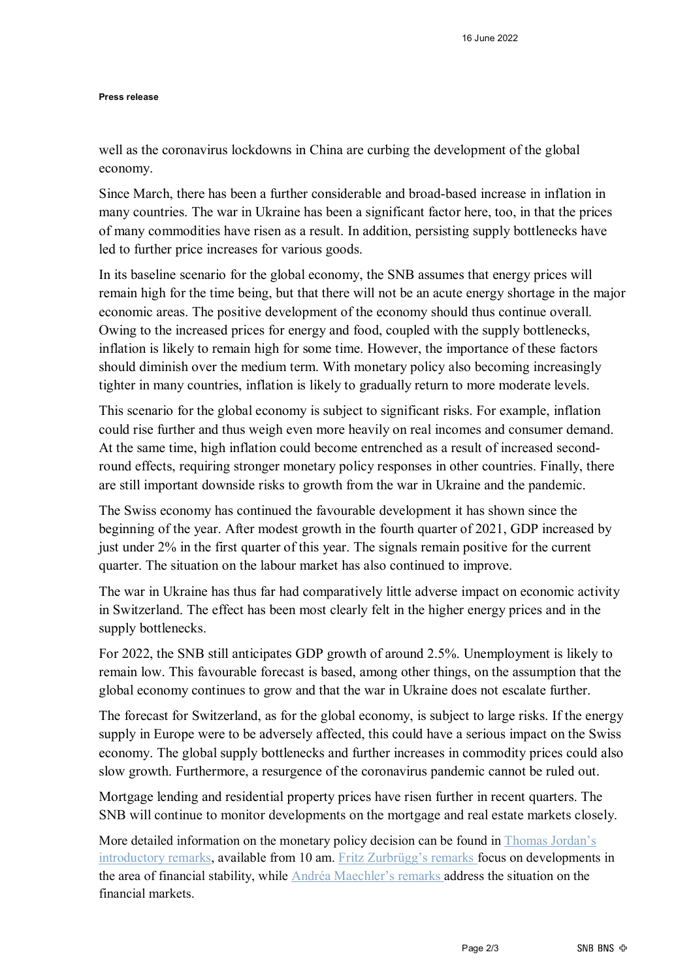#### **Press release**

well as the coronavirus lockdowns in China are curbing the development of the global economy.

Since March, there has been a further considerable and broad-based increase in inflation in many countries. The war in Ukraine has been a significant factor here, too, in that the prices of many commodities have risen as a result. In addition, persisting supply bottlenecks have led to further price increases for various goods.

In its baseline scenario for the global economy, the SNB assumes that energy prices will remain high for the time being, but that there will not be an acute energy shortage in the major economic areas. The positive development of the economy should thus continue overall. Owing to the increased prices for energy and food, coupled with the supply bottlenecks, inflation is likely to remain high for some time. However, the importance of these factors should diminish over the medium term. With monetary policy also becoming increasingly tighter in many countries, inflation is likely to gradually return to more moderate levels.

This scenario for the global economy is subject to significant risks. For example, inflation could rise further and thus weigh even more heavily on real incomes and consumer demand. At the same time, high inflation could become entrenched as a result of increased secondround effects, requiring stronger monetary policy responses in other countries. Finally, there are still important downside risks to growth from the war in Ukraine and the pandemic.

The Swiss economy has continued the favourable development it has shown since the beginning of the year. After modest growth in the fourth quarter of 2021, GDP increased by just under 2% in the first quarter of this year. The signals remain positive for the current quarter. The situation on the labour market has also continued to improve.

The war in Ukraine has thus far had comparatively little adverse impact on economic activity in Switzerland. The effect has been most clearly felt in the higher energy prices and in the supply bottlenecks.

For 2022, the SNB still anticipates GDP growth of around 2.5%. Unemployment is likely to remain low. This favourable forecast is based, among other things, on the assumption that the global economy continues to grow and that the war in Ukraine does not escalate further.

The forecast for Switzerland, as for the global economy, is subject to large risks. If the energy supply in Europe were to be adversely affected, this could have a serious impact on the Swiss economy. The global supply bottlenecks and further increases in commodity prices could also slow growth. Furthermore, a resurgence of the coronavirus pandemic cannot be ruled out.

Mortgage lending and residential property prices have risen further in recent quarters. The SNB will continue to monitor developments on the mortgage and real estate markets closely.

More detailed information on the monetary policy decision can be found in [Thomas Jordan's](https://www.snb.ch/en/mmr/speeches/id/ref_20220616_tjn/source/ref_20220616_tjn.en.pdf)  [introductory remarks,](https://www.snb.ch/en/mmr/speeches/id/ref_20220616_tjn/source/ref_20220616_tjn.en.pdf) available from 10 am. [Fritz Zurbrügg's remarks f](https://www.snb.ch/en/mmr/speeches/id/ref_20220616_zur/source/ref_20220616_zur.en.pdf)ocus on developments in the area of financial stability, while [Andréa Maechler's remarks a](https://www.snb.ch/en/mmr/speeches/id/ref_20220616_amr/source/ref_20220616_amr.en.pdf)ddress the situation on the financial markets.